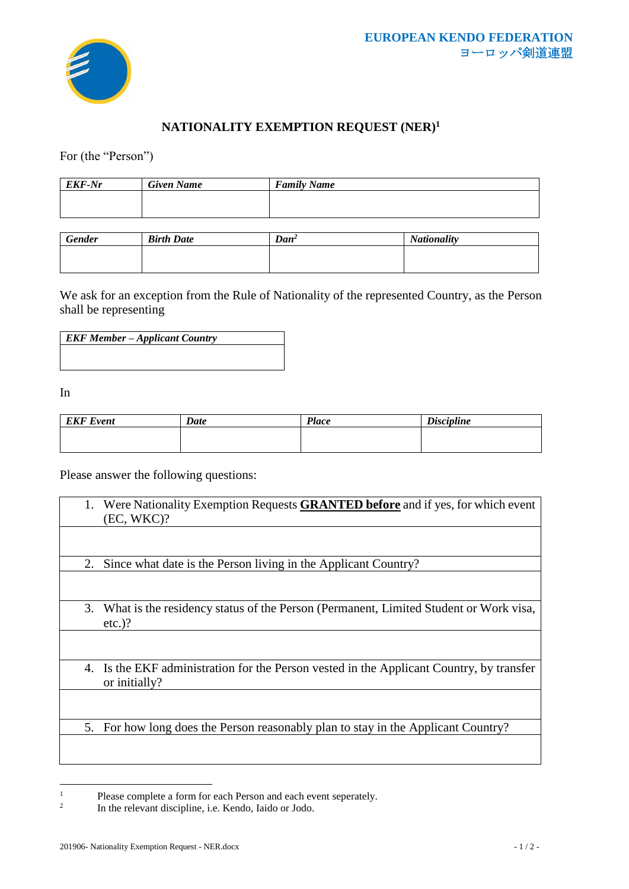

## **NATIONALITY EXEMPTION REQUEST (NER)<sup>1</sup>**

For (the "Person")

| <b>EKF-Nr</b> | <b>Given Name</b> | <b>Family Name</b> |
|---------------|-------------------|--------------------|
|               |                   |                    |
|               |                   |                    |

| <b>Gender</b> | <b>Birth Date</b> | $Dan^2$ | <b>Nationality</b> |
|---------------|-------------------|---------|--------------------|
|               |                   |         |                    |
|               |                   |         |                    |

We ask for an exception from the Rule of Nationality of the represented Country, as the Person shall be representing

| <b>EKF Member – Applicant Country</b> |  |
|---------------------------------------|--|
|                                       |  |
|                                       |  |

In

| <b>EKF</b> Event | Date | <b>Place</b> | <b>Discipline</b> |
|------------------|------|--------------|-------------------|
|                  |      |              |                   |
|                  |      |              |                   |

Please answer the following questions:

| 1. | Were Nationality Exemption Requests <b>GRANTED before</b> and if yes, for which event<br>(EC, WKC)?    |
|----|--------------------------------------------------------------------------------------------------------|
|    |                                                                                                        |
| 2. | Since what date is the Person living in the Applicant Country?                                         |
|    |                                                                                                        |
| 3. | What is the residency status of the Person (Permanent, Limited Student or Work visa,<br>$etc.$ )?      |
|    |                                                                                                        |
| 4. | Is the EKF administration for the Person vested in the Applicant Country, by transfer<br>or initially? |
|    |                                                                                                        |
| 5. | For how long does the Person reasonably plan to stay in the Applicant Country?                         |
|    |                                                                                                        |

<sup>&</sup>lt;sup>1</sup> Please complete a form for each Person and each event seperately.

<sup>2</sup> In the relevant discipline, i.e. Kendo, Iaido or Jodo.